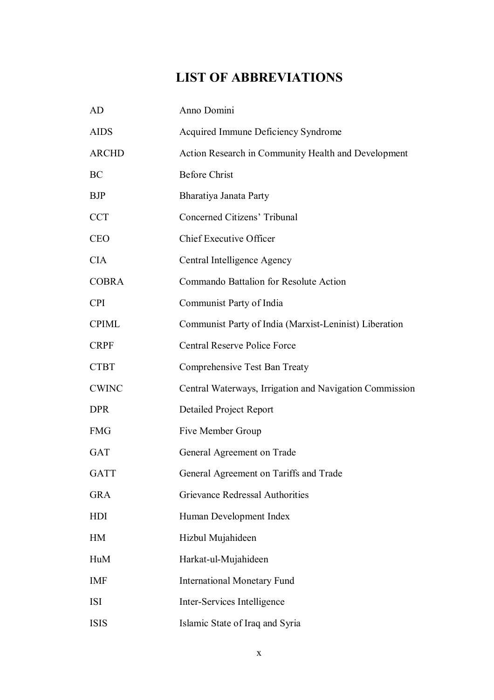## **LIST OF ABBREVIATIONS**

| AD           | Anno Domini                                             |
|--------------|---------------------------------------------------------|
| <b>AIDS</b>  | Acquired Immune Deficiency Syndrome                     |
| <b>ARCHD</b> | Action Research in Community Health and Development     |
| BC           | <b>Before Christ</b>                                    |
| <b>BJP</b>   | Bharatiya Janata Party                                  |
| <b>CCT</b>   | Concerned Citizens' Tribunal                            |
| <b>CEO</b>   | <b>Chief Executive Officer</b>                          |
| <b>CIA</b>   | Central Intelligence Agency                             |
| <b>COBRA</b> | Commando Battalion for Resolute Action                  |
| <b>CPI</b>   | Communist Party of India                                |
| <b>CPIML</b> | Communist Party of India (Marxist-Leninist) Liberation  |
| <b>CRPF</b>  | <b>Central Reserve Police Force</b>                     |
| <b>CTBT</b>  | Comprehensive Test Ban Treaty                           |
| <b>CWINC</b> | Central Waterways, Irrigation and Navigation Commission |
| <b>DPR</b>   | <b>Detailed Project Report</b>                          |
| <b>FMG</b>   | Five Member Group                                       |
| <b>GAT</b>   | General Agreement on Trade                              |
| <b>GATT</b>  | General Agreement on Tariffs and Trade                  |
| <b>GRA</b>   | Grievance Redressal Authorities                         |
| HDI          | Human Development Index                                 |
| <b>HM</b>    | Hizbul Mujahideen                                       |
| HuM          | Harkat-ul-Mujahideen                                    |
| <b>IMF</b>   | <b>International Monetary Fund</b>                      |
| <b>ISI</b>   | Inter-Services Intelligence                             |
| <b>ISIS</b>  | Islamic State of Iraq and Syria                         |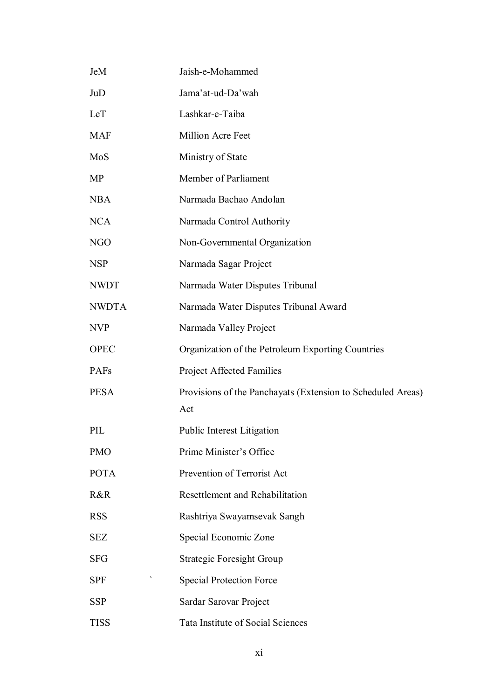| JeM          | Jaish-e-Mohammed                                            |
|--------------|-------------------------------------------------------------|
| JuD          | Jama'at-ud-Da'wah                                           |
| LeT          | Lashkar-e-Taiba                                             |
| <b>MAF</b>   | Million Acre Feet                                           |
| MoS          | Ministry of State                                           |
| <b>MP</b>    | Member of Parliament                                        |
| <b>NBA</b>   | Narmada Bachao Andolan                                      |
| <b>NCA</b>   | Narmada Control Authority                                   |
| <b>NGO</b>   | Non-Governmental Organization                               |
| <b>NSP</b>   | Narmada Sagar Project                                       |
| <b>NWDT</b>  | Narmada Water Disputes Tribunal                             |
| <b>NWDTA</b> | Narmada Water Disputes Tribunal Award                       |
| <b>NVP</b>   | Narmada Valley Project                                      |
| <b>OPEC</b>  | Organization of the Petroleum Exporting Countries           |
| <b>PAFs</b>  | <b>Project Affected Families</b>                            |
| <b>PESA</b>  | Provisions of the Panchayats (Extension to Scheduled Areas) |
|              | Act                                                         |
| PIL          | <b>Public Interest Litigation</b>                           |
| <b>PMO</b>   | Prime Minister's Office                                     |
| <b>POTA</b>  | Prevention of Terrorist Act                                 |
| R&R          | Resettlement and Rehabilitation                             |
| <b>RSS</b>   | Rashtriya Swayamsevak Sangh                                 |
| <b>SEZ</b>   | Special Economic Zone                                       |
| <b>SFG</b>   | <b>Strategic Foresight Group</b>                            |
| <b>SPF</b>   | <b>Special Protection Force</b>                             |
| <b>SSP</b>   | Sardar Sarovar Project                                      |
| <b>TISS</b>  | <b>Tata Institute of Social Sciences</b>                    |